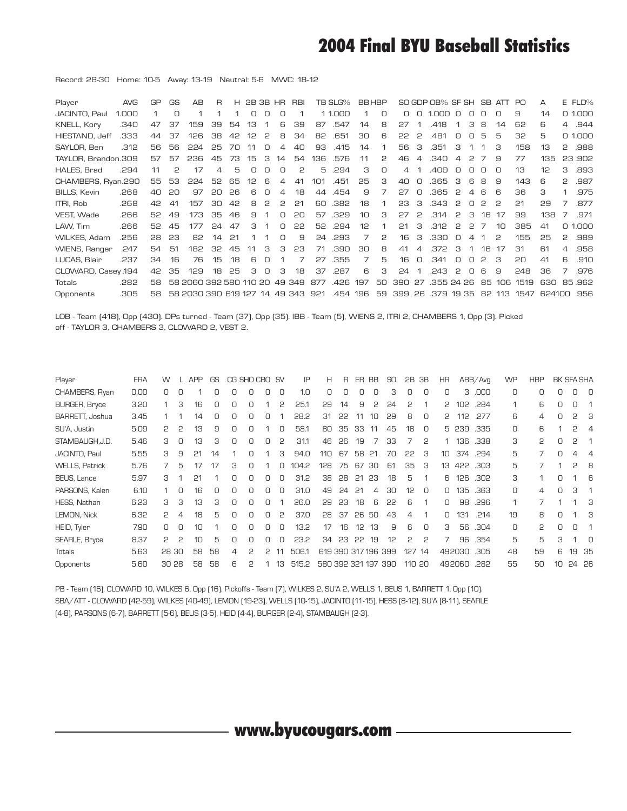## **2004 Final BYU Baseball Statistics**

Record: 28-30 Home: 10-5 Away: 13-19 Neutral: 5-6 MWC: 18-12

| Player               | <b>AVG</b> | GP | <b>GS</b> | AB                            | R  | H. | 2B 3B HR |   |    | <b>RBI</b> |     | TB SLG%  |     | <b>BBHBP</b> |        |               | SO GDP OB% SF SH |        |        |    | SB ATT PO |      | А      |                | E FLD% |
|----------------------|------------|----|-----------|-------------------------------|----|----|----------|---|----|------------|-----|----------|-----|--------------|--------|---------------|------------------|--------|--------|----|-----------|------|--------|----------------|--------|
| JACINTO, Paul        | 1.000      |    | $\Box$    |                               |    |    | Ο        | n | Ο  |            |     | 1 1.000  |     | Ο            | $\Box$ | $\Box$        | 1,000            | $\Box$ | $\Box$ |    | n         | 9    | 14     |                | 0.1000 |
| KNELL, Kory          | .340       | 47 | 37        | 159                           | 39 | 54 | 13       |   | 6  | 39         | 87  | .547     | 14  | 8            | 27     |               | .418             |        | з      | 8  | 14        | 62   | 6      | $\overline{4}$ | .944   |
| HIESTAND, Jeff       | .333       | 44 | 37        | 126                           | 38 | 42 | 12       | 2 | 8  | 34         | 82  | .651     | 30  | 6            | 22     | 2             | .481             | $\Box$ | $\Box$ | 5  | 5         | 32   | 5      |                | 0.1000 |
| SAYLOR, Ben          | .312       | 56 | 56        | 224                           | 25 | 70 |          | n | 4  | 40         | 93  | .415     | 14  |              | 56     | З             | .351             | З      |        |    | з         | 158  | 13     | 2              | .988   |
| TAYLOR, Brandon.309  |            | 57 | 57        | 236                           | 45 | 73 | 15       | з | 14 | 54         | 136 | .576     | 11  | 2            | 46     |               | 340              | 4      | 2      |    | 9         | 77   | 135    |                | 23,902 |
| HALES, Brad          | .294       | 11 | P         | 17                            | 4  | 5  | Ω        |   | Ο  | 2          | 5   | .294     | З   | $\Box$       | 4      |               | .400             |        |        |    |           | 13   | 12     | З              | .893   |
| CHAMBERS, Ryan.290   |            | 55 | 53        | 224                           | 52 | 65 | 12       | 6 | 4  | 41         | 101 | .451     | 25  | З            | 40     | Ο             | .365             | з      | 6      | 8  | 9         | 143  | 6      | 2              | .987   |
| <b>BILLS, Kevin</b>  | .268       | 40 | 20        | 97                            | 20 | 26 | 6        | n | 4  | 18         | 44  | .454     | 9   |              | 27     | n             | .365             | 2      |        | 6  | R         | 36   | З      |                | .975   |
| ITRI, Rob            | .268       | 42 | 41        | 157                           | 30 | 42 | 8        | 2 | 2  | 21         | 60  | .382     | 18  |              | 23     | З             | .343             | 2      | $\Box$ | 2  | 2         | 21   | 29     |                | .877   |
| VEST. Wade           | .266       | 52 | 49        | 173                           | 35 | 46 | 9        |   | О  | 20         | 57  | .329     | 10  | З            | 27     | $\mathcal{P}$ | .314             | 2      | з      | 16 | 17        | 99   | 138    | 7              | .971   |
| LAW, Tim             | .266       | 52 | 45        | 177                           | 24 | 47 | З        |   | O  | 22         | 52  | .294     | 12  |              | 21     | З             | .312             | 2      | 2      | 7  | 10        | 385  | 41     |                | 0.1000 |
| WILKES, Adam         | .256       | 28 | 23        | 82                            | 14 | 21 |          |   | O  | 9          | 24  | .293     | 7   | 2            | 16     | З             | .330             | $\Box$ | △      |    | 2         | 155  | 25     | 2              | .989   |
| <b>WIENS, Ranger</b> | .247       | 54 | 51        | 182                           | 32 | 45 | 11       | З | З  | 23         | 71  | .390     | 30  | Я            | 41     | 4             | .372             | з      |        | 16 | -17       | 31   | 61     | $\overline{a}$ | .958   |
| LUCAS, Blair         | .237       | 34 | 16        | 76                            | 15 | 18 | 6        | n |    |            | 27  | .355     | 7   | 5            | 16     | n             | .341             | n      | n      | 2  | З         | 20   | 41     | 6              | .910   |
| CLOWARD, Casey 194   |            | 42 | 35        | 129                           | 18 | 25 | З        | n | з  | 18         | 37  | .287     | 6   | З            | 24     |               | .243             | 2      | O      | R. | 9         | 248  | 36     |                | .976   |
| Totals               | .282       | 58 |           | 58 2060 392 580 110 20        |    |    |          |   |    | 49 349     | 877 | .426     | 197 | 50           | 390    | 27            | .355 24 26       |        |        | 85 | 106       | 1519 | 630    |                | 85.962 |
| Opponents            | .305       | 58 |           | 58 2030 390 619 127 14 49 343 |    |    |          |   |    |            | 921 | .454 196 |     | 59           | 399    | 26            | .379 19 35       |        |        |    | 82 113    | 1547 | 624100 |                | .956   |

LOB - Team (418), Opp (430). DPs turned - Team (37), Opp (35). IBB - Team (5), WIENS 2, ITRI 2, CHAMBERS 1, Opp (3). Picked off - TAYLOR 3, CHAMBERS 3, CLOWARD 2, VEST 2.

| Player                | <b>ERA</b> | W     |          | <b>APP</b> | GS       |          | CG SHO CBO SV |   |          | IP    | н                   | R  | ER | BB | SO  | 2B  | ЗB       | ΗR |                  | ABB/Avq | <b>WP</b> | <b>HBP</b> |    | <b>BK SFA SHA</b> |                |
|-----------------------|------------|-------|----------|------------|----------|----------|---------------|---|----------|-------|---------------------|----|----|----|-----|-----|----------|----|------------------|---------|-----------|------------|----|-------------------|----------------|
| CHAMBERS, Ryan        | 0.00       | 0     |          |            |          | Ο        |               |   |          | 1.0   | 0                   |    |    |    | З   | 0   | 0        | 0  | З                | .000    | 0         | 0          | 0  | О                 | $\Omega$       |
| <b>BURGER, Bryce</b>  | 3.20       |       | З        | 16         |          | n        |               |   | 2        | 25.1  | 29                  | 14 | 9  | 2  | 24  | 2   |          | 2  | 102 <sub>2</sub> | .284    | 1         | 6          | Ο  | Ο                 |                |
| BARRETT, Joshua       | 3.45       |       |          | 14         | $\Omega$ | 0        | О             | О |          | 28.2  | 31                  | 22 | 11 | 10 | 29  | 8   | $\Omega$ | 2  | 112              | .277    | 6         | 4          | 0  | 2                 | З              |
| SU'A, Justin          | 5.09       | ς     | 2        | 13         | 9        | $\Omega$ |               |   |          | 58.1  | 80                  | 35 | 33 |    | 45  | 18  | $\Omega$ | 5  | 239              | .335    | 0         | 6          |    | 2                 | 4              |
| STAMBAUGH.J.D.        | 5.46       | З     | 0        | 13         | З        | n        | Ω             | U | 2        | 31.1  | 46                  | 26 | 19 |    | 33  |     | 2        |    | 136              | .338    | З         | 5          | 0  | 5                 |                |
| <b>JACINTO, Paul</b>  | 5.55       | З     | 9        | 21         | 14       |          | n             |   | З        | 94.0  | 110                 | 67 | 58 | 21 | 70  | 22  | З        | 10 | 374              | .294    | 5         | 7          | 0  | 4                 | $\overline{4}$ |
| <b>WELLS, Patrick</b> | 5.76       |       | 5        | 17         | 17       | З        | 0             |   |          | 104.2 | 128                 | 75 | 67 | 30 | 61  | 35  | 3        | 13 | 422              | .303    | 5         |            |    | 2                 | 8              |
| BEUS, Lance           | 5.97       | З     |          | 21         |          | U        | 0             | 0 | $\Omega$ | 31.2  | 38                  | 28 | 21 | 23 | 18  | 5   |          | 6  | 126              | .302    | З         |            | 0  |                   | 6              |
| PARSONS, Kalen        | 6.10       |       | $\Box$   | 16         | $\Omega$ | U        | 0             | 0 | $\Omega$ | 31.0  | 49                  | 24 | 21 | 4  | 30  | 12  | $\Omega$ | 0  | 135              | .363    | 0         | 4          | 0  | З                 | -1             |
| HESS. Nathan          | 6.23       | З     | З        | 13         | З        | U        |               |   |          | 26.0  | 29                  | 23 | 18 | 6  | 22  | 6   |          | 0  | 98               | .296    | 1         |            |    |                   | 3              |
| LEMON, Nick           | 6.32       | 2     | 4        | 18         | 5        | n        | 0             | 0 | 2        | 37.0  | 28                  | 37 | 26 | 50 | 43  | 4   |          | 0  | 131              | .214    | 19        | 8          | 0  |                   | З              |
| HEID, Tyler           | 7.90       | n.    | $\Omega$ | 10         |          | U        | n             | U | n        | 13.2  | 17                  | 16 | 12 | 13 | 9   | 6   | n        | З  | 56               | .304    | 0         | 2          | U  | 0                 | 1              |
| <b>SEARLE, Bryce</b>  | 8.37       | P     | C        | 10         | 5        | n        |               |   |          | 23.2  | 34                  | 23 | 22 | 19 | 12  | 2   | 2        |    | 96               | .354    | 5         | 5          | 3  |                   | $\Omega$       |
| <b>Totals</b>         | 5.63       | 28    | 30       | 58         | 58       | 4        | 2             | 2 |          | 506.1 | 619 390 317 196 399 |    |    |    |     | 127 | 14       |    | 492030           | .305    | 48        | 59         | 6  | 19                | -35            |
| Opponents             | 5.60       | 30 28 |          | 58         | 58       | 6        | 5             |   | 13       | 515.2 | 580 392 321 197     |    |    |    | 390 | 110 | 20       |    | 492060           | .282    | 55        | 50         | 10 |                   | 24 26          |
|                       |            |       |          |            |          |          |               |   |          |       |                     |    |    |    |     |     |          |    |                  |         |           |            |    |                   |                |

PB - Team (16), CLOWARD 10, WILKES 6, Opp (16). Pickoffs - Team (7), WILKES 2, SU'A 2, WELLS 1, BEUS 1, BARRETT 1, Opp (10). SBA/ATT - CLOWARD (42-59), WILKES (40-49), LEMON (19-23), WELLS (10-15), JACINTO (11-15), HESS (8-12), SU'A (8-11), SEARLE (4-8), PARSONS (6-7), BARRETT (5-6), BEUS (3-5), HEID (4-4), BURGER (2-4), STAMBAUGH (2-3).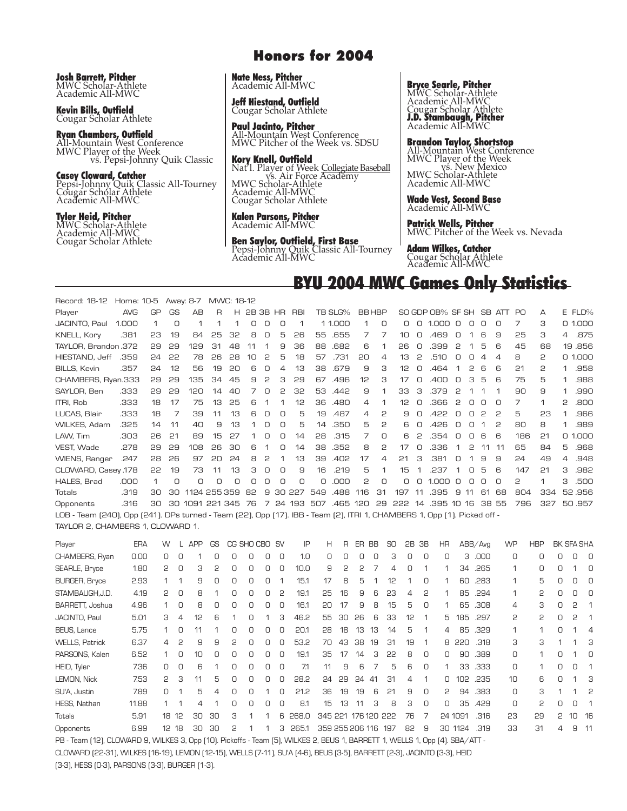**Josh Barrett, Pitcher** MWC Scholar-Athlete

Academic All-MWC

**Kevin Bills, Outfield** Cougar Scholar Athlete

**Ryan Chambers, Outfield** All-Mountain West Conference vs. Pepsi-Johnny Quik Classic

**Casey Cloward, Catcher** Pepsi-Johnny Quik Classic All-Tourney Cougar Scholar Athlete Academic All-MWC

#### **Tyler Heid, Pitcher** MWC Scholar-Athlete Academic All-MWC Cougar Scholar Athlete

### **Honors for 2004**

**Nate Ness, Pitcher** Academic All-MWC

**Jeff Hiestand, Outfield** Cougar Scholar Athlete

**Paul Jacinto, Pitcher** All-Mountain West Conference MWC Pitcher of the Week vs. SDSU

**Kory Knell, Outfield** Nat'l. Player of Week Collegiate Baseball<br>vs. Air Force Academy<br>MWC Scholar-Athlete Academic All-MWC Cougar Scholar Athlete

**Kalen Parsons, Pitcher** Academic All-MWC

**Ben Saylor, Outfield, First Base** Pepsi-Johnny Quik Classic All-Tourney Academic All-MWC

#### **Bryce Searle, Pitcher**

MWC Scholar-Athlete Academic All-MWC Cougar Scholar Athlete **J.D. Stambaugh, Pitcher** Academic All-MWC

**Brandon Taylor, Shortstop**

All-Mountain West Conference MWC Player of the Week vs. New Mexico MWC Scholar-Athlete Academic All-MWC

**Wade Vest, Second Base** Academic All-MWC

**Patrick Wells, Pitcher**

MWC Pitcher of the Week vs. Nevada

**Adam Wilkes, Catcher** Cougar Scholar Athlete Academic All-MWC

### **BYU 2004 MWC Games Only Statistics**

Record: 18-12 Home: 10-5 Away: 8-7 MWC: 18-12 Player AVG GP GS AB R H 2B 3B HR RBI TB SLG% BB HBP SO GDP OB% SF SH SB ATT PO A E FLD% JACINTO, Paul 1.000 1 0 1 1 1 0 0 0 1 1 1.000 1 0 0 0 1.000 0 0 0 0 7 3 0 1.000 KNELL, Kory .381 23 19 84 25 32 8 0 5 26 55 .655 7 7 10 0 .469 0 1 6 9 25 3 4 .875 TAYLOR, Brandon .372 29 29 129 31 48 11 1 9 36 88 .682 6 1 26 0 .399 2 1 5 6 45 68 19 .856 HIESTAND, Jeff .359 24 22 78 26 28 10 2 5 18 57 .731 20 4 13 2 .510 0 0 4 4 8 2 0 1.000 BILLS, Kevin .357 24 12 56 19 20 6 0 4 13 38 .679 9 3 12 0 .464 1 2 6 6 21 2 1 .958 CHAMBERS, Ryan.333 29 29 135 34 45 9 2 3 29 67 .496 12 3 17 0 .400 0 3 5 6 75 5 1 .988 SAYLOR, Ben .333 29 29 120 14 40 7 0 2 32 53 .442 9 1 33 3 .379 2 1 1 1 90 9 1 .990 ITRI, Rob .333 18 17 75 13 25 6 1 1 12 36 .480 4 1 12 0 .366 2 0 0 0 7 1 2 .800 LUCAS, Blair .333 18 7 39 11 13 6 0 0 5 19 .487 4 2 9 0 .422 0 0 2 2 5 23 1 .966 WILKES, Adam .325 14 11 40 9 13 1 0 0 5 14 .350 5 2 6 0 .426 0 0 1 2 80 8 1 .989 LAW, Tim .303 26 21 89 15 27 1 0 0 14 28 .315 7 0 6 2 .354 0 0 6 6 186 21 0 1.000 VEST, Wade .278 29 29 108 26 30 6 1 0 14 38 .352 8 2 17 0 .336 1 2 11 11 65 84 5 .968 WIENS, Ranger .247 28 26 97 20 24 8 2 1 13 39 .402 17 4 21 3 .381 0 1 9 9 24 49 4 .948 CLOWARD, Casey .178 22 19 73 11 13 3 0 0 9 16 .219 5 1 15 1 .237 1 0 5 6 147 21 3 .982 HALES, Brad .000 1 0 0 0 0 0 0 0 0 0 .000 2 0 0 0 1.000 0 0 0 0 2 1 3 .500 Totals .319 30 30 1124 255 359 82 9 30 227 549 .488 116 31 197 11 .395 9 11 61 68 804 334 52 .956 Opponents .316 30 30 1091 221 345 76 7 24 193 507 .465 120 29 222 14 .395 10 16 38 55 796 327 50 .957 LOB - Team (240), Opp (241). DPs turned - Team (22), Opp (17). IBB - Team (2), ITRI 1, CHAMBERS 1, Opp (1). Picked off - TAYLOR 2, CHAMBERS 1, CLOWARD 1.

Player ERA W L APP GS CG SHO CBO SV IP H R ER BB SO 2B 3B HR ABB/Avg WP HBP BK SFA SHA CHAMBERS, Ryan 0.00 0 0 1 0 0 0 0 0 1.0 0 0 0 0 3 0 0 0 3 .000 0 0 0 0 0 SEARLE, Bryce 1.80 2 0 3 2 0 0 0 0 10.0 9 2 2 7 4 0 1 1 34 .265 1 0 0 1 0 BURGER, Bryce 2.93 1 1 9 0 0 0 0 1 15.1 17 8 5 1 12 1 0 1 60 .283 1 5 0 0 0 STAMBAUGH,J.D. 4.19 2 0 8 1 0 0 0 2 19.1 25 16 9 6 23 4 2 1 85 .294 1 2 0 0 0 BARRETT, Joshua 4.96 1 0 8 0 0 0 0 0 16.1 20 17 9 8 15 5 0 1 65 .308 4 3 0 2 1 JACINTO, Paul 5.01 3 4 12 6 1 0 1 3 46.2 55 30 26 6 33 12 1 5 185 .297 2 2 0 2 1 BEUS, Lance 5.75 1 0 11 1 0 0 0 0 20.1 28 18 13 13 14 5 1 4 85 .329 1 1 0 1 4 WELLS, Patrick 6.37 4 2 9 9 2 0 0 0 53.2 70 43 38 19 31 19 1 8 220 .318 3 3 1 1 3 PARSONS, Kalen 6.52 1 0 10 0 0 0 0 0 19.1 35 17 14 3 22 8 0 0 90 .389 0 1 0 1 0 HEID, Tyler 7.36 0 0 6 1 0 0 0 0 7.1 11 9 6 7 5 6 0 1 33 .333 0 1 0 0 1 LEMON, Nick 7.53 2 3 11 5 0 0 0 0 28.2 24 29 24 41 31 4 1 0 102 .235 10 6 0 1 3 SU'A, Justin 7.89 0 1 5 4 0 0 1 0 21.2 36 19 19 6 21 9 0 2 94 .383 0 3 1 1 2 HESS, Nathan 11.88 1 1 4 1 0 0 0 0 8.1 15 13 11 3 8 3 0 0 35 .429 0 2 0 0 1 Totals 5.91 18 12 30 30 3 1 1 6 268.0 345 221 176120 222 76 7 24 1091 .316 23 29 2 10 16 Opponents 6.99 12 18 30 30 2 1 1 3 265.1 359 255 206 116 197 82 9 30 1124 .319 33 31 4 9 11 PB - Team (12), CLOWARD 9, WILKES 3, Opp (10). Pickoffs - Team (5), WILKES 2, BEUS 1, BARRETT 1, WELLS 1, Opp (4). SBA/ATT -

CLOWARD (22-31), WILKES (16-19), LEMON (12-15), WELLS (7-11), SU'A (4-6), BEUS (3-5), BARRETT (2-3), JACINTO (3-3), HEID (3-3), HESS (0-3), PARSONS (3-3), BURGER (1-3).